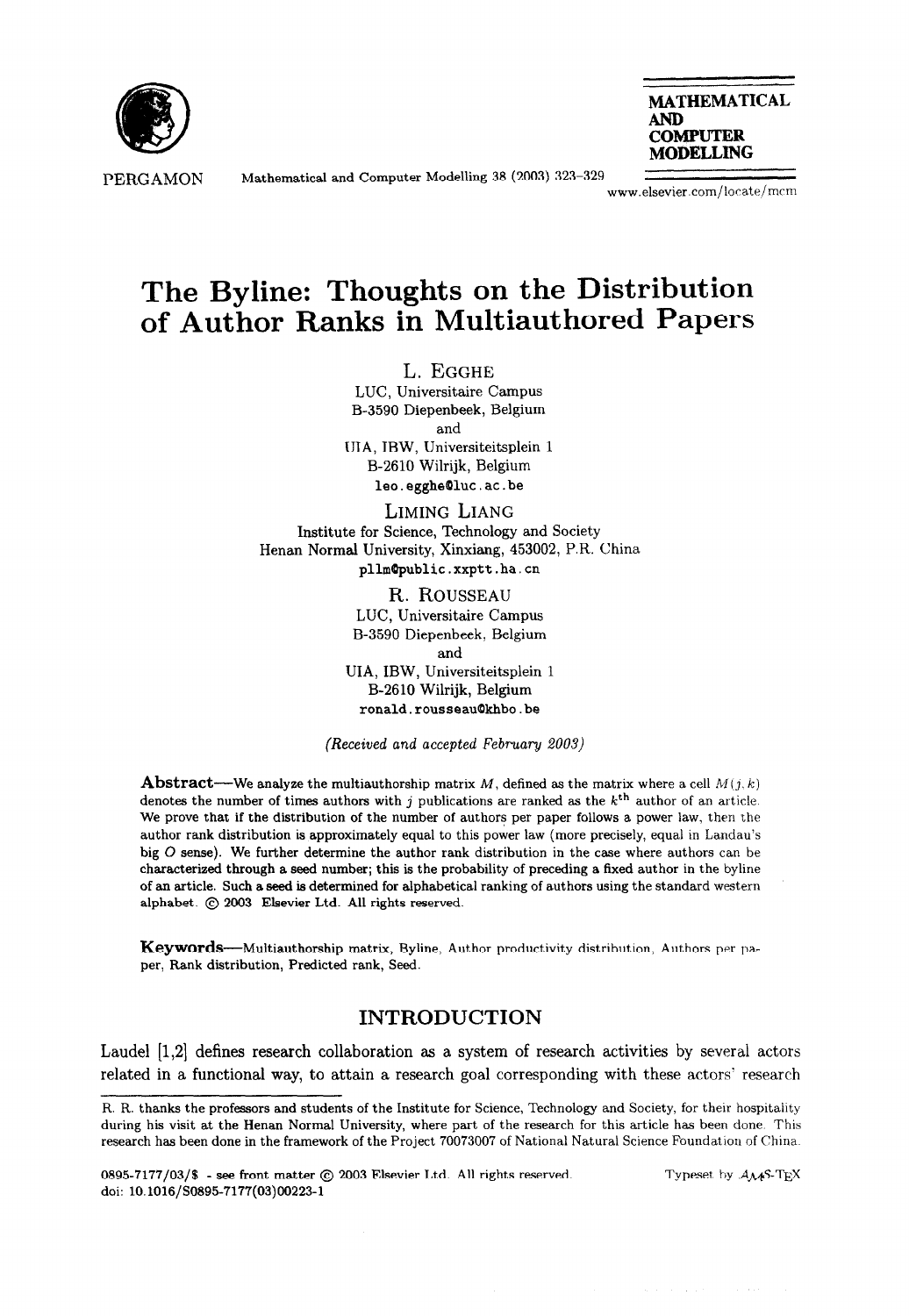

PERGAMON Mathematical and Computer Modelling 38 (2003) 323-329



www.elsevier.com/locate/mcrn

# The Byline: Thoughts on the Distribution of Author Ranks in Multiauthored Papers

L. EGGHE LUC, Universitaire Campus B-3590 Diepenbeek, Belgium and UIA, IBW, Universiteitsplein 1 B-2610 Wilrijk, Belgium leo.egghe@luc.ac.be

LIMING LIANG Institute for Science, Technology and Society Henan Normal University, Xinxiang, 453002, P.R. China pllm@public.xxptt.ha.cn

> R. ROUSSEAU LUC, Universitaire Campus B-3590 Diepenbeek, Belgium and UIA, IBW, Universiteitsplein 1 B-2610 Wilrijk, Belgium ronald.rousseau@khbo.be

(Received and accepted February 2003)

**Abstract**—We analyze the multiauthorship matrix M, defined as the matrix where a cell  $M(j, k)$ denotes the number of times authors with j publications are ranked as the  $k<sup>th</sup>$  author of an article. We prove that if the distribution of the number of authors per paper follows a power law, then the author rank distribution is approximately equal to this power law (more precisely, equal in Landau's big 0 sense). We further determine the author rank distribution in the case where authors can be characterized through a seed number; this is the probability of preceding a fixed author in the byline of an article. Such a seed is determined for alphabetical ranking of authors using the standard western alphabet. @ 2003 Elsevier Ltd. All rights reserved.

**Keywords**—Multiauthorship matrix, Byline, Author productivity distribution, Authors per paper, Rank distribution, Predicted rank, Seed.

## INTRODUCTION

Laudel [1,2] defines research collaboration as a system of research activities by several actors related in a functional way, to attain a research goal corresponding with these actors' research

Typeset by  $A_{\mathcal{M}}S$ -TFX

Fl. R. thanks the professors and students of the Institute for Science, Technology and Society, for their hospitaiity during his visit at the Henan Normal University, where part of the research for this article has been done. This research has been done in the framework of the Project 70073007 of National Natural Science Foundation of China.

<sup>0895-7177/03/\$ -</sup> see front matter @ 2003 Elsevier Ltd. All rights reserved. doi: lO.l016/SO895-7177(03)00223-1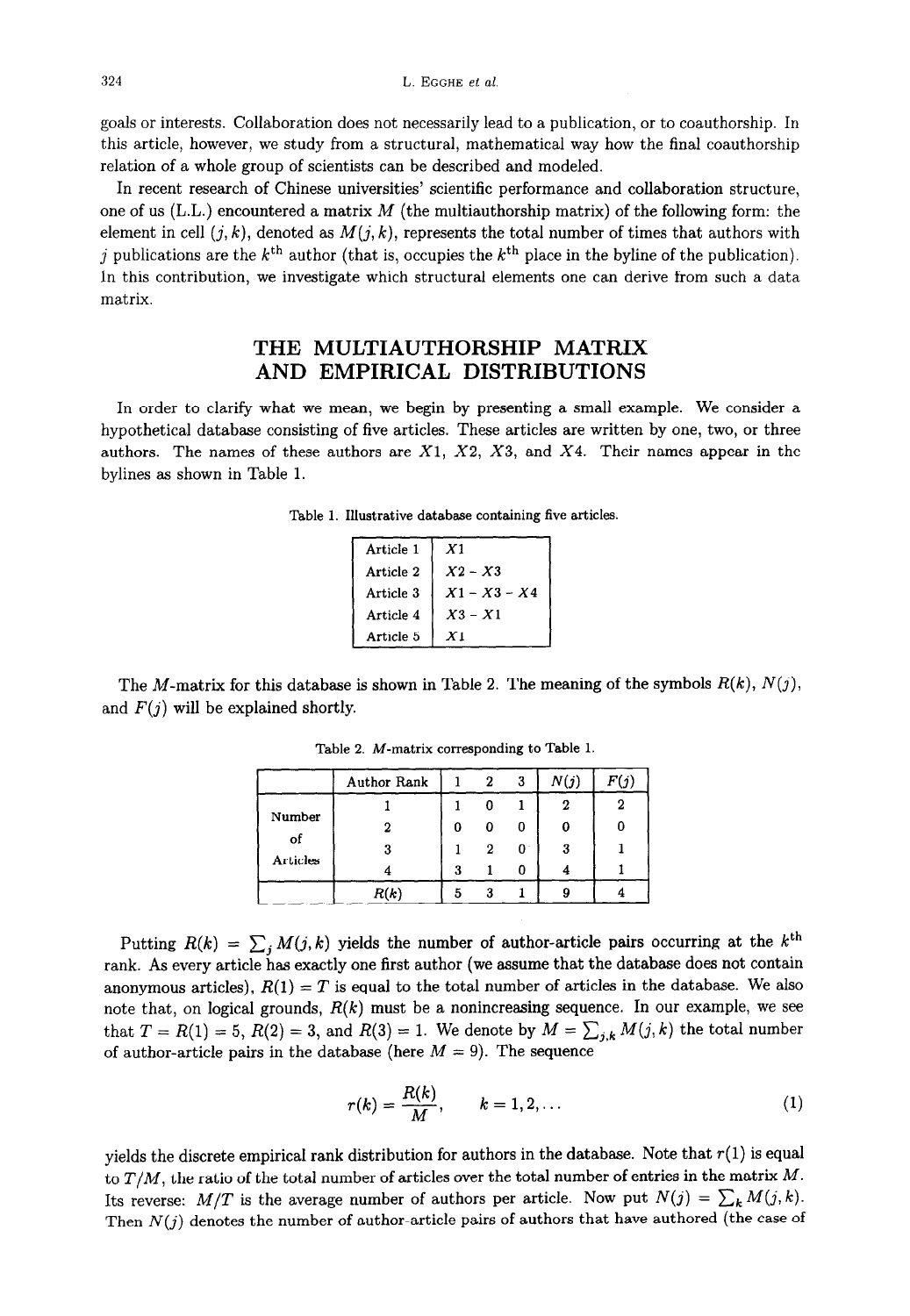goals or interests. Collaboration does not necessarily lead to a publication, or to coauthorship. In this article, however, we study from a structural, mathematical way how the final coauthorship relation of a whole group of scientists can be described and modeled.

In recent research of Chinese universities' scientific performance and collaboration structure, one of us (L.L.) encountered a matrix  $M$  (the multiauthorship matrix) of the following form: the element in cell  $(j, k)$ , denoted as  $M(j, k)$ , represents the total number of times that authors with j publications are the  $k<sup>th</sup>$  author (that is, occupies the  $k<sup>th</sup>$  place in the byline of the publication). In this contribution, we investigate which structural elements one can derive from such a data matrix.

## THE MULTIAUTHORSHIP MATRIX AND EMPIRICAL DISTRIBUTIONS

In order to clarify what we mean, we begin by presenting a small example. We consider a hypothetical database consisting of five articles. These articles are written by one, two, or three authors. The names of these authors are  $X1$ ,  $X2$ ,  $X3$ , and  $X4$ . Their names appear in the bylines as shown in Table 1.

|  |  | Table 1. Illustrative database containing five articles. |  |  |  |  |
|--|--|----------------------------------------------------------|--|--|--|--|
|--|--|----------------------------------------------------------|--|--|--|--|

| Article 1 | X1             |  |  |
|-----------|----------------|--|--|
| Article 2 | $X2 - X3$      |  |  |
| Article 3 | $X1 - X3 - X4$ |  |  |
| Article 4 | $X3 - X1$      |  |  |
| Article 5 | X1             |  |  |

The M-matrix for this database is shown in Table 2. The meaning of the symbols  $R(k)$ ,  $N(j)$ , and  $F(j)$  will be explained shortly.

|          | Author Rank |   |   | 3 | N(j) |  |
|----------|-------------|---|---|---|------|--|
|          |             |   |   |   |      |  |
| Number   |             | 0 | O |   |      |  |
| of       |             |   | າ | 0 | 3    |  |
| Articles |             | 3 |   |   |      |  |
|          |             |   |   |   |      |  |

Table 2. M-matrix corresponding to Table 1

Putting  $R(k) = \sum_j M(j, k)$  yields the number of author-article pairs occurring at the k<sup>th</sup> rank. As every article has exactly one first author (we assume that the database does not contain anonymous articles),  $R(1) = T$  is equal to the total number of articles in the database. We also note that, on logical grounds,  $R(k)$  must be a nonincreasing sequence. In our example, we see that  $T = R(1) = 5$ ,  $R(2) = 3$ , and  $R(3) = 1$ . We denote by  $M = \sum_{j,k} M(j,k)$  the total number of author-article pairs in the database (here  $M = 9$ ). The sequence

$$
r(k) = \frac{R(k)}{M}, \qquad k = 1, 2, \ldots \tag{1}
$$

yields the discrete empirical rank distribution for authors in the database. Note that  $r(1)$  is equal to  $T/M$ , the ratio of the total number of articles over the total number of entries in the matrix  $M$ . Its reverse:  $M/T$  is the average number of authors per article. Now put  $N(j) = \sum_{k} M(j, k)$ . Then  $N(j)$  denotes the number of author-article pairs of authors that have authored (the case of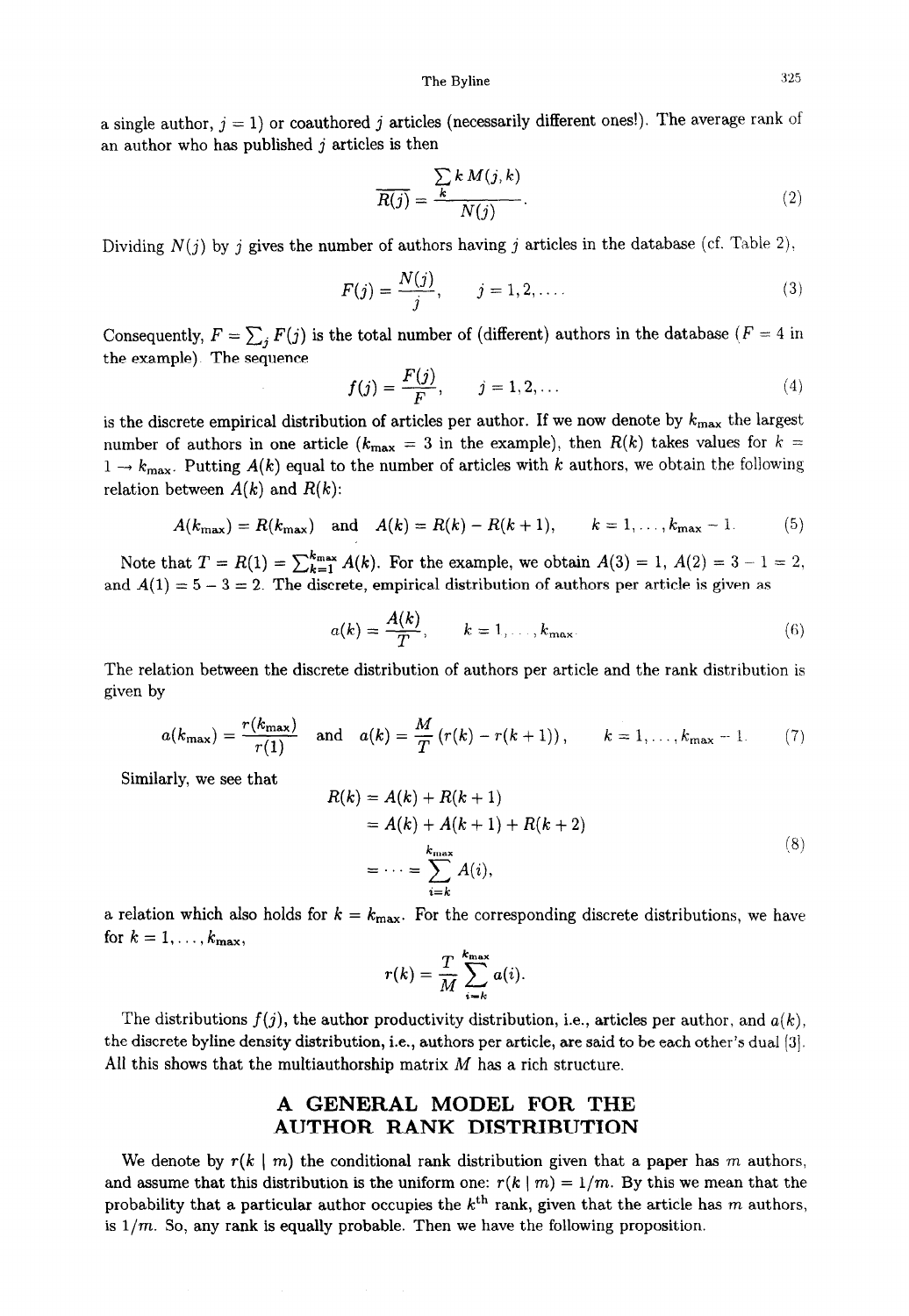a single author,  $j = 1$ ) or coauthored j articles (necessarily different ones!). The average rank of an author who has published  $j$  articles is then

$$
\overline{R(j)} = \frac{\sum_{k} k M(j, k)}{N(j)}.
$$
\n(2)

Dividing  $N(j)$  by j gives the number of authors having j articles in the database (cf. Table 2).

$$
F(j) = \frac{N(j)}{j}, \qquad j = 1, 2, \dots
$$
 (3)

Consequently,  $F = \sum_j F(j)$  is the total number of (different) authors in the database ( $F = 4$  in the example). The sequence

$$
f(j) = \frac{F(j)}{F}, \qquad j = 1, 2, \dots
$$
 (4)

is the discrete empirical distribution of articles per author. If we now denote by  $k_{\text{max}}$  the largest number of authors in one article ( $k_{\text{max}} = 3$  in the example), then  $R(k)$  takes values for  $k =$  $1 \rightarrow k_{\text{max}}$ . Putting  $A(k)$  equal to the number of articles with k authors, we obtain the following relation between  $A(k)$  and  $R(k)$ :

$$
A(k_{\max}) = R(k_{\max})
$$
 and  $A(k) = R(k) - R(k+1)$ ,  $k = 1, ..., k_{\max} - 1$ . (5)

Note that  $T = R(1) = \sum_{k=1}^{k_{\text{max}}} A(k)$ . For the example, we obtain  $A(3) = 1$ ,  $A(2) = 3 - 1 = 2$ . and  $A(1) = 5 - 3 = 2$ . The discrete, empirical distribution of authors per article is given as

$$
a(k) = \frac{A(k)}{T}, \qquad k = 1, \ldots, k_{\text{max}}.
$$
 (6)

The relation between the discrete distribution of authors per article and the rank distribution is given by

$$
a(k_{\max}) = \frac{r(k_{\max})}{r(1)}
$$
 and  $a(k) = \frac{M}{T}(r(k) - r(k+1)),$   $k = 1,...,k_{\max} - 1.$  (7)

Similarly, we see that

$$
R(k) = A(k) + R(k + 1)
$$
  
=  $A(k) + A(k + 1) + R(k + 2)$   
=  $\dots = \sum_{i=k}^{k_{\text{max}}} A(i),$  (8)

a relation which also holds for  $k = k_{\text{max}}$ . For the corresponding discrete distributions, we have for  $k = 1, \ldots, k_{\text{max}}$ ,

$$
r(k) = \frac{T}{M} \sum_{i=k}^{k_{\max}} a(i)
$$

The distributions  $f(j)$ , the author productivity distribution, i.e., articles per author, and  $a(k)$ , the discrete byline density distribution, i.e., authors per article, are said to be each other's dual [3]. All this shows that the multiauthorship matrix  $M$  has a rich structure.

### A GENERAL MODEL FOR THE AUTHOR RANK DISTRIBUTION

We denote by  $r(k | m)$  the conditional rank distribution given that a paper has m authors, and assume that this distribution is the uniform one:  $r(k | m) = 1/m$ . By this we mean that the probability that a particular author occupies the  $k<sup>th</sup>$  rank, given that the article has m authors, is  $1/m$ . So, any rank is equally probable. Then we have the following proposition.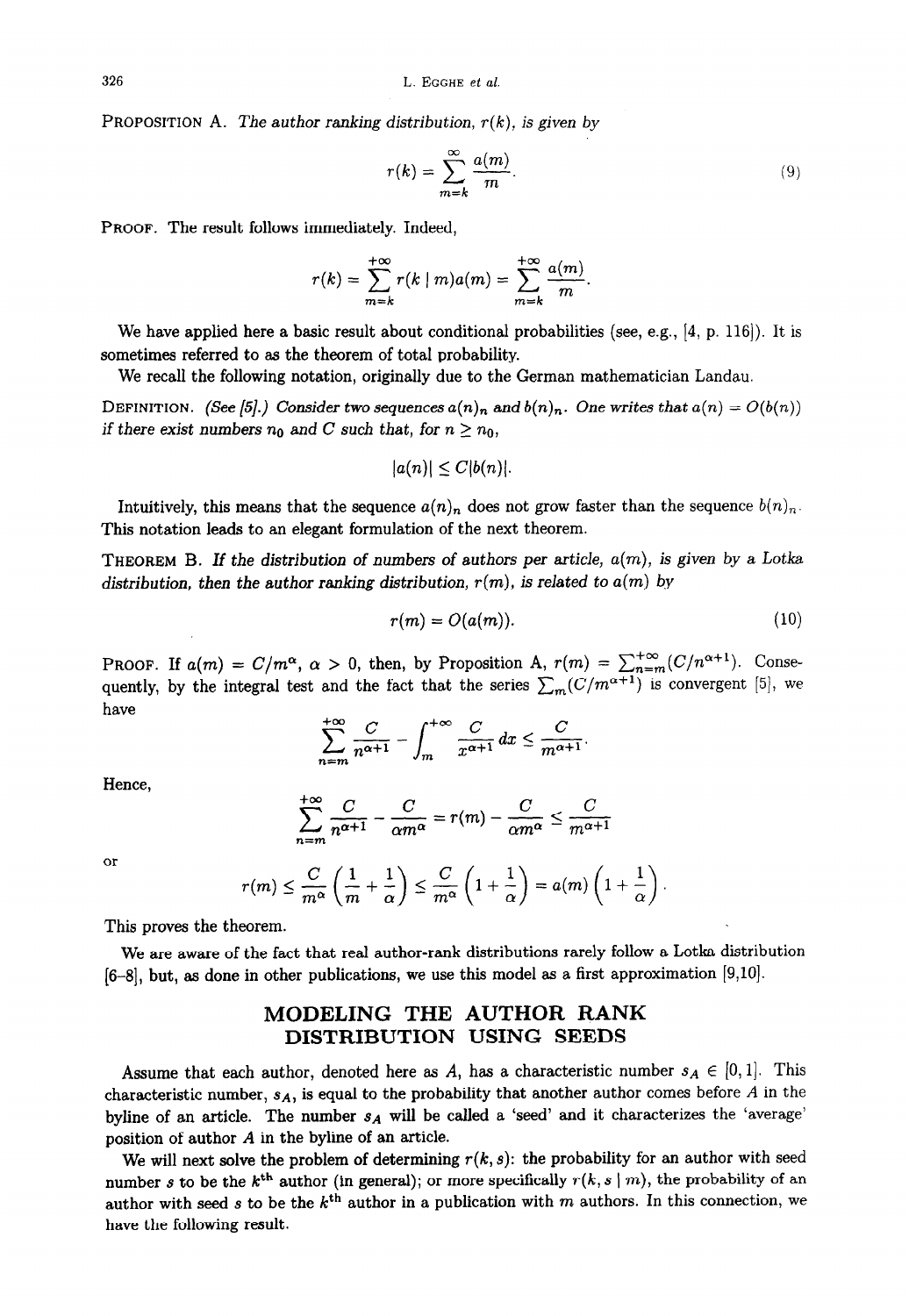PROPOSITION A. The author ranking distribution,  $r(k)$ , is given by

$$
r(k) = \sum_{m=k}^{\infty} \frac{a(m)}{m}.
$$
 (9)

PROOF. The result follows immediately. Indeed,

$$
r(k) = \sum_{m=k}^{+\infty} r(k \mid m) a(m) = \sum_{m=k}^{+\infty} \frac{a(m)}{m}.
$$

We have applied here a basic result about conditional probabilities (see, e.g.,  $[4, p. 116]$ ). It is sometimes referred to as the theorem of total probability.

We recall the following notation, originally due to the German mathematician Landau.

DEFINITION. (See [5].) Consider two sequences  $a(n)_n$  and  $b(n)_n$ . One writes that  $a(n) = O(b(n))$ if there exist numbers  $n_0$  and C such that, for  $n \geq n_0$ ,

$$
|a(n)|\leq C|b(n)|.
$$

Intuitively, this means that the sequence  $a(n)_n$  does not grow faster than the sequence  $b(n)_n$ . This notation leads to an elegant formulation of the next theorem.

THEOREM B. If the distribution of numbers of authors per article,  $a(m)$ , is given by a Lotka distribution, then the author ranking distribution,  $r(m)$ , is related to  $a(m)$  by

$$
r(m) = O(a(m)). \tag{10}
$$

PROOF. If  $a(m) = C/m^{\alpha}$ ,  $\alpha > 0$ , then, by Proposition A,  $r(m) = \sum_{n=m}^{+\infty} (C/n^{\alpha+1})$ . Consequently, by the integral test and the fact that the series  $\sum_{m}(C/m^{\alpha+1})$  is convergent [5], we have +m

$$
\sum_{n=m}^{+\infty}\frac{C}{n^{\alpha+1}}-\int_m^{+\infty}\frac{C}{x^{\alpha+1}}\,dx\leq \frac{C}{m^{\alpha+1}}.
$$

Hence,

$$
\sum_{n=m}^{+\infty} \frac{C}{n^{\alpha+1}} - \frac{C}{\alpha m^{\alpha}} = r(m) - \frac{C}{\alpha m^{\alpha}} \le \frac{C}{m^{\alpha+1}}
$$

or

$$
r(m) \leq \frac{C}{m^{\alpha}} \left( \frac{1}{m} + \frac{1}{\alpha} \right) \leq \frac{C}{m^{\alpha}} \left( 1 + \frac{1}{\alpha} \right) = a(m) \left( 1 + \frac{1}{\alpha} \right).
$$

This proves the theorem.

We are aware of the fact that real author-rank distributions rarely follow a Lotka distribution  $[6-8]$ , but, as done in other publications, we use this model as a first approximation  $[9,10]$ .

#### MODELING THE AUTHOR RANK DISTRIBUTION USING SEEDS

Assume that each author, denoted here as A, has a characteristic number  $s_A \in [0,1]$ . This characteristic number,  $s_A$ , is equal to the probability that another author comes before A in the byline of an article. The number  $s_A$  will be called a 'seed' and it characterizes the 'average' position of author A in the byline of an article.

We will next solve the problem of determining  $r(k, s)$ : the probability for an author with seed number s to be the k<sup>th</sup> author (in general); or more specifically  $r(k, s | m)$ , the probability of an author with seed s to be the  $k^{\text{th}}$  author in a publication with m authors. In this connection, we have the following result.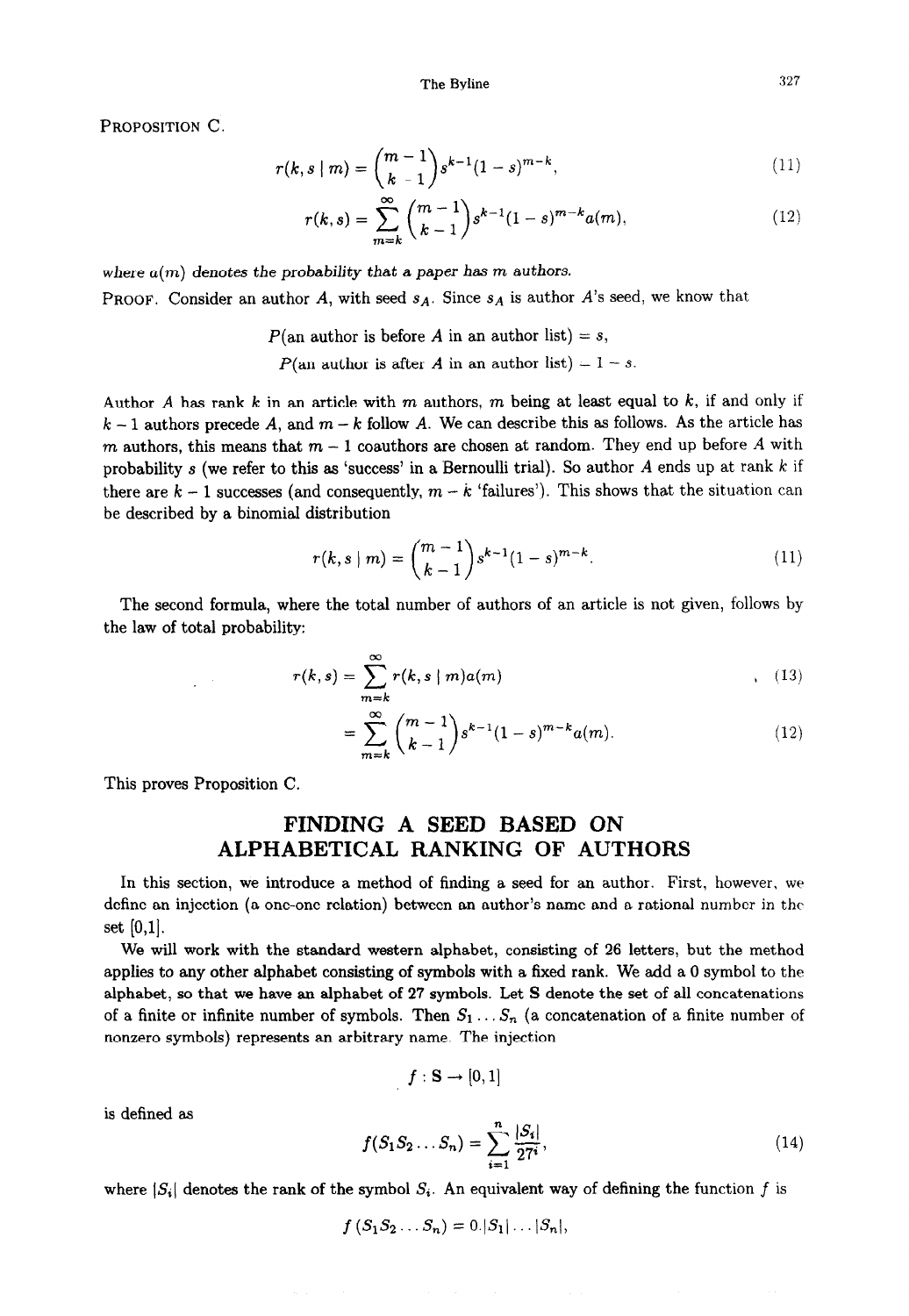PROPOSITION C.

$$
r(k, s \mid m) = \binom{m-1}{k-1} s^{k-1} (1-s)^{m-k}, \tag{11}
$$

$$
r(k,s) = \sum_{m=k}^{\infty} {m-1 \choose k-1} s^{k-1} (1-s)^{m-k} a(m), \qquad (12)
$$

where  $a(m)$  denotes the probability that a paper has m authors. **PROOF.** Consider an author A, with seed  $s_A$ . Since  $s_A$  is author A's seed, we know that

> $P(\text{an author is before } A \text{ in an author list}) = s,$  $P(\text{an author is after } A \text{ in an author list}) = 1 - s.$

Author A has rank  $k$  in an article with  $m$  authors,  $m$  being at least equal to  $k$ , if and only if  $k-1$  authors precede A, and  $m-k$  follow A. We can describe this as follows. As the article has m authors, this means that  $m-1$  coauthors are chosen at random. They end up before A with probability s (we refer to this as 'success' in a Bernoulli trial). So author A ends up at rank  $k$  if there are  $k-1$  successes (and consequently,  $m-k$  'failures'). This shows that the situation can be described by a binomial distribution

$$
r(k, s \mid m) = {m-1 \choose k-1} s^{k-1} (1-s)^{m-k}.
$$
 (11)

The second formula, where the total number of authors of an article is not given, follows by the law of total probability:

$$
r(k,s) = \sum_{m=k}^{\infty} r(k,s \mid m)a(m)
$$
\n(13)

$$
= \sum_{m=k}^{\infty} {m-1 \choose k-1} s^{k-1} (1-s)^{m-k} a(m). \tag{12}
$$

This proves Proposition C.

## FINDING A SEED BASED ON ALPHABETICAL RANKING OF AUTHORS

In this section, we introduce a method of finding a seed for an author. First, however, we define an injection (a one-one relation) between an author's name and a rational number in the set  $[0,1]$ .

We will work with the standard western alphabet, consisting of 26 letters, but the method applies to any other alphabet consisting of symbols with a fixed rank. We add a 0 symbol to the alphabet, so that we have an alphabet of 27 symbols. Let S denote the set of all concatenations of a finite or infinite number of symbols. Then  $S_1 \ldots S_n$  (a concatenation of a finite number of nonzero symbols) represents an arbitrary name. The injection

$$
f:\mathbf{S}\rightarrow[0,1]
$$

is defined as

$$
f(S_1S_2...S_n) = \sum_{i=1}^n \frac{|S_i|}{27^i},
$$
\n(14)

where  $|S_i|$  denotes the rank of the symbol  $S_i$ . An equivalent way of defining the function f is

$$
f(S_1S_2\ldots S_n)=0.|S_1|\ldots|S_n|
$$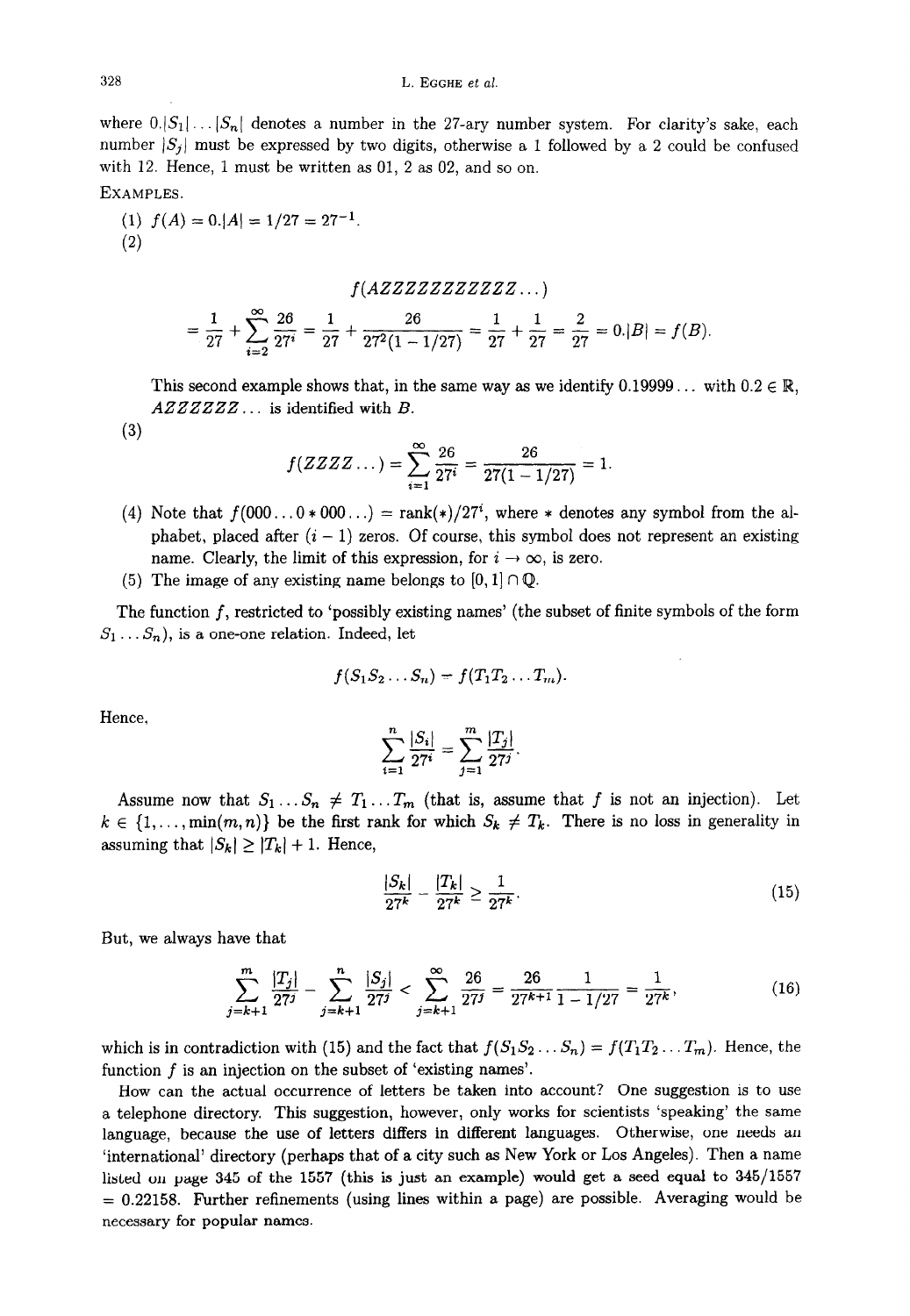where  $0.|S_1|...|S_n|$  denotes a number in the 27-ary number system. For clarity's sake, each number  $|S_j|$  must be expressed by two digits, otherwise a 1 followed by a 2 could be confused with 12. Hence, 1 must be written as 01, 2 as 02, and so on.

EXAMPLES.

(1)  $f(A) = 0.|A| = 1/27 = 27^{-1}$ . (2)

$$
f(AZZZZZZZZZZZ\ldots)
$$

$$
= \frac{1}{27} + \sum_{i=2}^{\infty} \frac{26}{27^i} = \frac{1}{27} + \frac{26}{27^2(1-1/27)} = \frac{1}{27} + \frac{1}{27} = \frac{2}{27} = 0.|B| = f(B).
$$

This second example shows that, in the same way as we identify  $0.19999...$  with  $0.2 \in \mathbb{R}$ ,  $AZZZZZZ...$  is identified with  $B.$ 

(3)

$$
f(ZZZZ\ldots) = \sum_{i=1}^{\infty} \frac{26}{27^i} = \frac{26}{27(1-1/27)} = 1.
$$

- (4) Note that  $f(000...0*000...) = \text{rank}(*)/27^i$ , where \* denotes any symbol from the alphabet, placed after  $(i - 1)$  zeros. Of course, this symbol does not represent an existing name. Clearly, the limit of this expression, for  $i \to \infty$ , is zero.
- (5) The image of any existing name belongs to  $[0, 1] \cap \mathbb{Q}$ .

The function  $f$ , restricted to 'possibly existing names' (the subset of finite symbols of the form  $S_1 \ldots S_n$ , is a one-one relation. Indeed, let

$$
f(S_1S_2\ldots S_n)=f(T_1T_2\ldots T_m).
$$

Hence,

$$
\sum_{i=1}^{n} \frac{|S_i|}{27^i} = \sum_{j=1}^{m} \frac{|T_j|}{27^j}.
$$

Assume now that  $S_1 \tldots S_n \neq T_1 \tldots T_m$  (that is, assume that f is not an injection). Let  $k \in \{1,\ldots,\min(m,n)\}\$ be the first rank for which  $S_k \neq T_k$ . There is no loss in generality in assuming that  $|S_k| \geq |T_k| + 1$ . Hence,

$$
\frac{|S_k|}{27^k} - \frac{|T_k|}{27^k} \ge \frac{1}{27^k}.\tag{15}
$$

But, we always have that

$$
\sum_{j=k+1}^{m} \frac{|T_j|}{27^j} - \sum_{j=k+1}^{n} \frac{|S_j|}{27^j} < \sum_{j=k+1}^{\infty} \frac{26}{27^j} = \frac{26}{27^{k+1}} \frac{1}{1 - 1/27} = \frac{1}{27^k},\tag{16}
$$

which is in contradiction with (15) and the fact that  $f(S_1S_2...S_n) = f(T_1T_2...T_m)$ . Hence, the function f is an injection on the subset of 'existing names'.

How can the actual occurrence of letters be taken into account? One suggestion is to use a telephone directory. This suggestion, however, only works for scientists 'speaking' the same language, because the use of letters differs in different languages. Otherwise, one needs an 'international' directory (perhaps that of a city such as New York or Los Angeles). Then a name listed on page 345 of the 1557 (this is just an example) would get a seed equal to 345/1557  $= 0.22158$ . Further refinements (using lines within a page) are possible. Averaging would be necessary for popular names.